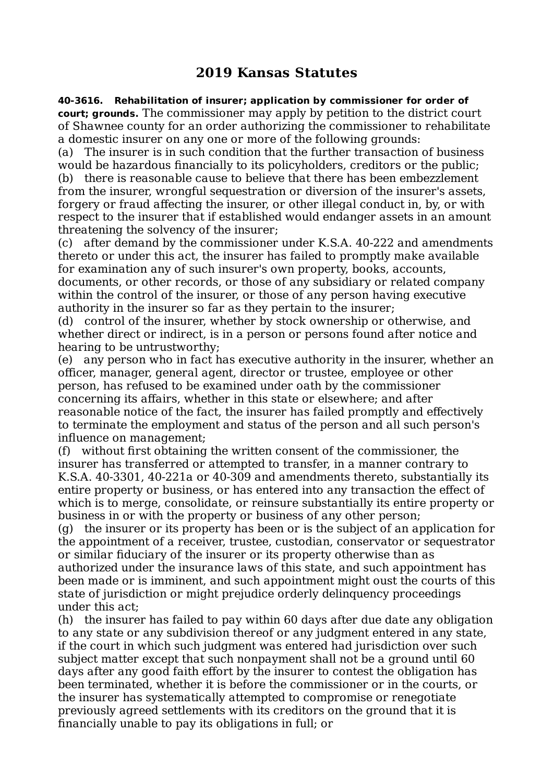## **2019 Kansas Statutes**

**40-3616. Rehabilitation of insurer; application by commissioner for order of court; grounds.** The commissioner may apply by petition to the district court of Shawnee county for an order authorizing the commissioner to rehabilitate a domestic insurer on any one or more of the following grounds:

(a) The insurer is in such condition that the further transaction of business would be hazardous financially to its policyholders, creditors or the public; (b) there is reasonable cause to believe that there has been embezzlement from the insurer, wrongful sequestration or diversion of the insurer's assets, forgery or fraud affecting the insurer, or other illegal conduct in, by, or with respect to the insurer that if established would endanger assets in an amount threatening the solvency of the insurer;

(c) after demand by the commissioner under K.S.A. 40-222 and amendments thereto or under this act, the insurer has failed to promptly make available for examination any of such insurer's own property, books, accounts, documents, or other records, or those of any subsidiary or related company within the control of the insurer, or those of any person having executive authority in the insurer so far as they pertain to the insurer;

(d) control of the insurer, whether by stock ownership or otherwise, and whether direct or indirect, is in a person or persons found after notice and hearing to be untrustworthy;

(e) any person who in fact has executive authority in the insurer, whether an officer, manager, general agent, director or trustee, employee or other person, has refused to be examined under oath by the commissioner concerning its affairs, whether in this state or elsewhere; and after reasonable notice of the fact, the insurer has failed promptly and effectively to terminate the employment and status of the person and all such person's influence on management;

(f) without first obtaining the written consent of the commissioner, the insurer has transferred or attempted to transfer, in a manner contrary to K.S.A. 40-3301, 40-221a or 40-309 and amendments thereto, substantially its entire property or business, or has entered into any transaction the effect of which is to merge, consolidate, or reinsure substantially its entire property or business in or with the property or business of any other person;

(g) the insurer or its property has been or is the subject of an application for the appointment of a receiver, trustee, custodian, conservator or sequestrator or similar fiduciary of the insurer or its property otherwise than as authorized under the insurance laws of this state, and such appointment has been made or is imminent, and such appointment might oust the courts of this state of jurisdiction or might prejudice orderly delinquency proceedings under this act;

(h) the insurer has failed to pay within 60 days after due date any obligation to any state or any subdivision thereof or any judgment entered in any state, if the court in which such judgment was entered had jurisdiction over such subject matter except that such nonpayment shall not be a ground until 60 days after any good faith effort by the insurer to contest the obligation has been terminated, whether it is before the commissioner or in the courts, or the insurer has systematically attempted to compromise or renegotiate previously agreed settlements with its creditors on the ground that it is financially unable to pay its obligations in full; or